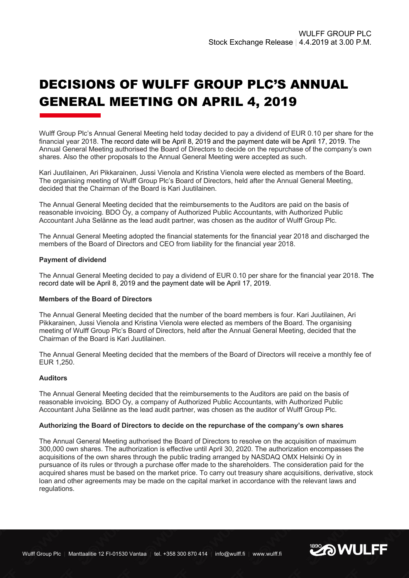# DECISIONS OF WULFF GROUP PLC'S ANNUAL GENERAL MEETING ON APRIL 4, 2019

Wulff Group Plc's Annual General Meeting held today decided to pay a dividend of EUR 0.10 per share for the financial year 2018. The record date will be April 8, 2019 and the payment date will be April 17, 2019. The Annual General Meeting authorised the Board of Directors to decide on the repurchase of the company's own shares. Also the other proposals to the Annual General Meeting were accepted as such.

Kari Juutilainen, Ari Pikkarainen, Jussi Vienola and Kristina Vienola were elected as members of the Board. The organising meeting of Wulff Group Plc's Board of Directors, held after the Annual General Meeting, decided that the Chairman of the Board is Kari Juutilainen.

The Annual General Meeting decided that the reimbursements to the Auditors are paid on the basis of reasonable invoicing. BDO Oy, a company of Authorized Public Accountants, with Authorized Public Accountant Juha Selänne as the lead audit partner, was chosen as the auditor of Wulff Group Plc.

The Annual General Meeting adopted the financial statements for the financial year 2018 and discharged the members of the Board of Directors and CEO from liability for the financial year 2018.

## **Payment of dividend**

The Annual General Meeting decided to pay a dividend of EUR 0.10 per share for the financial year 2018. The record date will be April 8, 2019 and the payment date will be April 17, 2019.

## **Members of the Board of Directors**

The Annual General Meeting decided that the number of the board members is four. Kari Juutilainen, Ari Pikkarainen, Jussi Vienola and Kristina Vienola were elected as members of the Board. The organising meeting of Wulff Group Plc's Board of Directors, held after the Annual General Meeting, decided that the Chairman of the Board is Kari Juutilainen.

The Annual General Meeting decided that the members of the Board of Directors will receive a monthly fee of EUR 1,250.

## **Auditors**

The Annual General Meeting decided that the reimbursements to the Auditors are paid on the basis of reasonable invoicing. BDO Oy, a company of Authorized Public Accountants, with Authorized Public Accountant Juha Selänne as the lead audit partner, was chosen as the auditor of Wulff Group Plc.

#### **Authorizing the Board of Directors to decide on the repurchase of the company's own shares**

The Annual General Meeting authorised the Board of Directors to resolve on the acquisition of maximum 300,000 own shares. The authorization is effective until April 30, 2020. The authorization encompasses the acquisitions of the own shares through the public trading arranged by NASDAQ OMX Helsinki Oy in pursuance of its rules or through a purchase offer made to the shareholders. The consideration paid for the acquired shares must be based on the market price. To carry out treasury share acquisitions, derivative, stock loan and other agreements may be made on the capital market in accordance with the relevant laws and regulations.